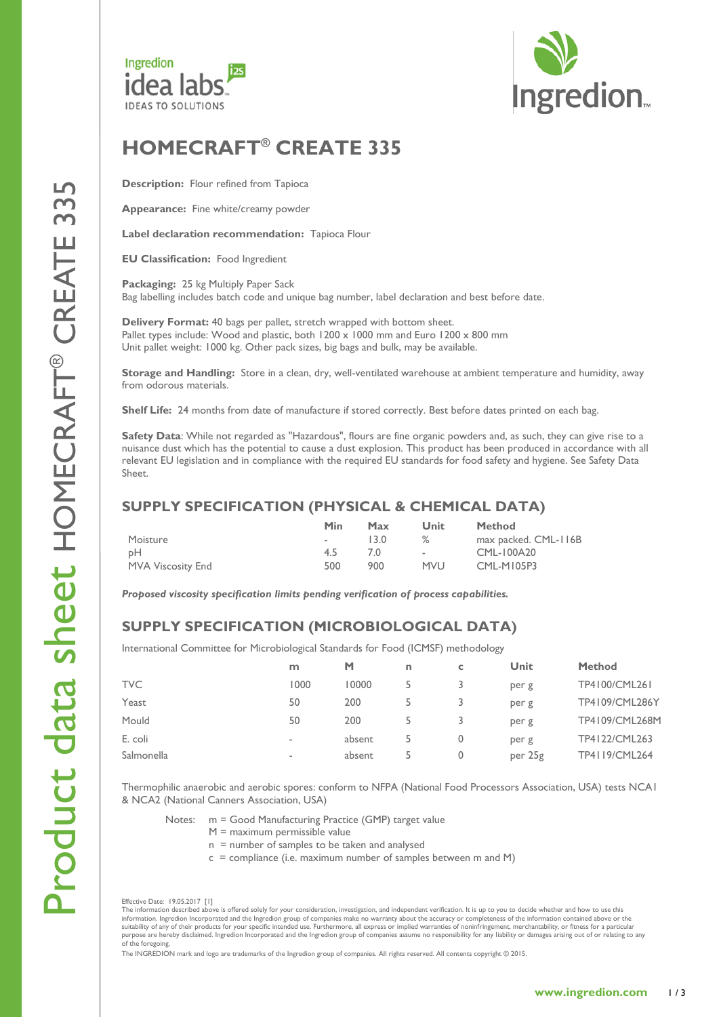



# **HOMECRAFT ® CREATE 33 5**

**Description:** Flour refined from Tapioca

**Appearance :** Fine white/creamy powder

**Label declaration recommendation :** Tapioca Flour

**EU Classification :** Food Ingredient

**Packaging :** 25 kg Multiply Paper Sack Bag labelling includes batch code and unique bag number, label declaration and best before date .

**Delivery Format :** 40 bags per pallet, stretch wrapped with bottom sheet. Pallet types include: Wood and plastic, both 1200 x 1000 mm and Euro 1200 x 800 mm Unit pallet weight: 1000 kg. Other pack sizes, big bags and bulk, may be available.

Storage and Handling: Store in a clean, dry, well-ventilated warehouse at ambient temperature and humidity, away from odorous materials.

**Shelf Life :** 24 months from date of manufacture if stored correctly. Best before dates printed on each bag.

**Safety Data** : While not regarded as "Hazardous", flours are fine organic powders and, as such, they can give rise to a nuisance dust which has the potential to cause a dust explosion. This product has been produced in accordance with all relevant EU legislation and in compliance with the required EU standards for food safety and hygiene. See Safety Data Sheet .

## **SUPPLY SPECIFICATION (PHYSICAL & CHEMICAL DAT A)**

|                   | Min | Max  | Unit       | <b>Method</b>        |
|-------------------|-----|------|------------|----------------------|
| Moisture          |     | 13 O | ℅          | max packed. CML-116B |
| pH                | 4.5 |      | $\sim$     | CML-100A20           |
| MVA Viscosity End | 500 | 900  | <b>MVU</b> | CML-M105P3           |

*Proposed viscosity specification limits pending verification of process capabilities.*

# **SUPPLY SPECIFICATION (MICROBIOLOGICAL DATA )**

International Committee for Microbiological Standards for Food (ICMSF) methodology

|            | m              | М      | n  |   | Unit    | <b>Method</b>  |
|------------|----------------|--------|----|---|---------|----------------|
| <b>TVC</b> | 1000           | 10000  |    |   | per g   | TP4100/CML261  |
| Yeast      | 50             | 200    |    |   | per g   | TP4109/CML286Y |
| Mould      | 50             | 200    |    |   | per g   | TP4109/CML268M |
| E. coli    | $\blacksquare$ | absent |    | 0 | per g   | TP4122/CML263  |
| Salmonella | $\sim$         | absent | 5. | 0 | per 25g | TP4119/CML264  |

Thermophilic anaerobic and aerobic spores : conform to NFPA (National Food Processors Association, USA) tests NCA1 & NCA2 (National Canners Association, USA)

- Notes: m = Good Manufacturing Practice (GMP) target value
	- M = maximum permissible value
	- n = number of samples to be taken and analysed
	- c = compliance ( i.e. maximum number of samples between m and M )

Effective Date: 19.05.2017 [1]

The information described above is offered solely for your consideration, investigation, and independent verification. It is up to you to decide whether and how to use this information. Ingredion Incorporated and the Ingredion group of companies make no warranty about the accuracy or completeness of the information contained above or the<br>suitablity of any of their products for your specific i of the foregoing.

The INGREDION mark and logo are trademarks of the Ingredion group of companies. All rights reserved. All contents copyright © 2015.

LC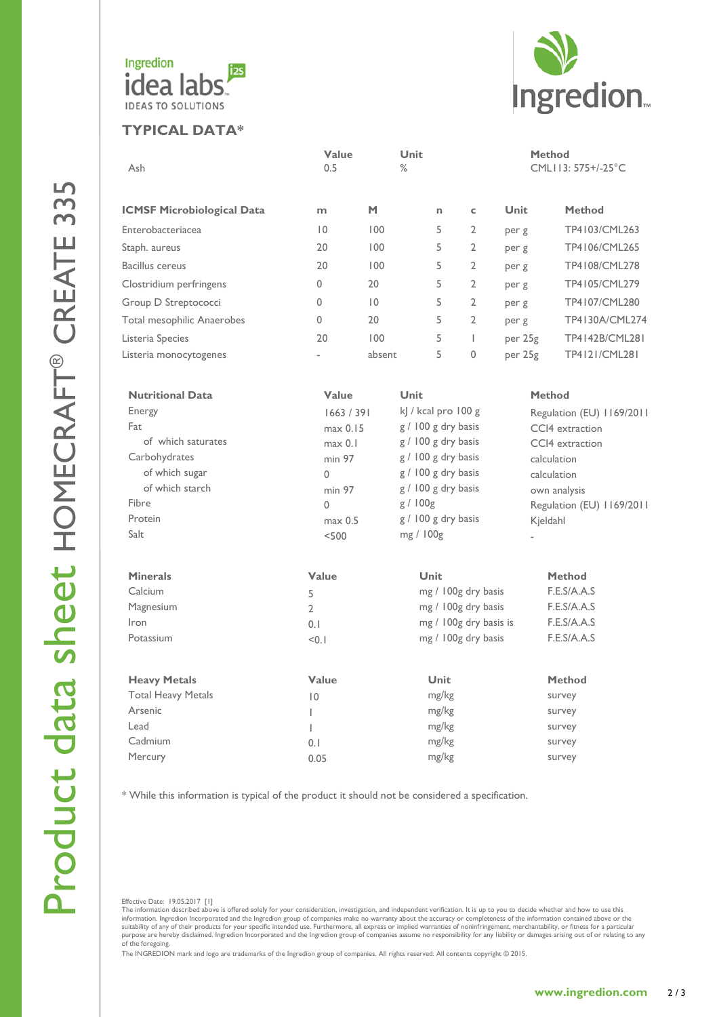

#### **TYPICAL DATA\***



| Ash                                        | Value<br>0.5   |                | Unit<br>$\%$           |             |                |                    | <b>Method</b><br>CML113: 575+/-25°C |                |  |
|--------------------------------------------|----------------|----------------|------------------------|-------------|----------------|--------------------|-------------------------------------|----------------|--|
| <b>ICMSF Microbiological Data</b>          | m              | M              |                        | n.          | $\mathsf{C}$   | <b>Unit</b>        |                                     | <b>Method</b>  |  |
| Enterobacteriacea                          | $\overline{0}$ | 100            |                        | 5           | $\overline{2}$ | per g              |                                     | TP4103/CML263  |  |
| Staph. aureus                              | 20             | 100            |                        | 5           | $\overline{2}$ | per g              |                                     | TP4106/CML265  |  |
| <b>Bacillus cereus</b>                     | 20             | 100            |                        | 5           | $\overline{2}$ | per g              |                                     | TP4108/CML278  |  |
| Clostridium perfringens                    | 0              | 20             |                        | 5           | 2              | per g              |                                     | TP4105/CML279  |  |
| Group D Streptococci                       | $\mathbf{0}$   | $\overline{0}$ |                        | 5           | 2              | per g              |                                     | TP4107/CML280  |  |
| Total mesophilic Anaerobes                 | $\Omega$       | 20             |                        | 5           | $\overline{2}$ | per g              |                                     | TP4130A/CML274 |  |
|                                            | 20             | 100            |                        | 5           | $\overline{1}$ |                    |                                     | TP4142B/CML281 |  |
| Listeria Species<br>Listeria monocytogenes | ÷.             | absent         |                        | 5           | 0              | per 25g<br>per 25g |                                     | TP4121/CML281  |  |
|                                            |                |                |                        |             |                |                    |                                     |                |  |
| <b>Nutritional Data</b>                    | Value          |                | <b>Unit</b>            |             |                |                    | <b>Method</b>                       |                |  |
| Energy                                     | 1663 / 391     |                | kJ / kcal pro 100 g    |             |                |                    | Regulation (EU) 1169/2011           |                |  |
| Fat                                        | max 0.15       |                | g / 100 g dry basis    |             |                |                    | CCI4 extraction                     |                |  |
| of which saturates                         | max 0.1        |                | g / 100 g dry basis    |             |                |                    | CCI4 extraction                     |                |  |
| Carbohydrates                              | min 97         |                | g / 100 g dry basis    |             |                |                    | calculation                         |                |  |
| of which sugar                             | $\Omega$       |                | g / 100 g dry basis    |             |                |                    | calculation                         |                |  |
| of which starch                            | min 97         |                | g / 100 g dry basis    |             |                |                    | own analysis                        |                |  |
| Fibre                                      | $\Omega$       |                | g/100g                 |             |                |                    | Regulation (EU) 1169/2011           |                |  |
| Protein                                    | max 0.5        |                | g / 100 g dry basis    |             |                |                    | Kjeldahl                            |                |  |
| Salt                                       | < 500          |                | mg / 100g              |             |                |                    |                                     |                |  |
| <b>Minerals</b>                            | Value          |                |                        | <b>Unit</b> |                |                    |                                     | <b>Method</b>  |  |
| Calcium                                    | 5              |                | mg / 100g dry basis    |             |                |                    | F.E.S/A.A.S                         |                |  |
| Magnesium                                  | $\mathcal{L}$  |                | mg / 100g dry basis    |             |                |                    | F.E.S/A.A.S                         |                |  |
| Iron                                       | 0.1            |                | mg / 100g dry basis is |             |                |                    | F.E.S/A.A.S                         |                |  |
| Potassium                                  | < 0.1          |                | mg / 100g dry basis    |             |                |                    | F.E.S/A.A.S                         |                |  |
| <b>Heavy Metals</b>                        | Value          |                |                        | <b>Unit</b> |                |                    |                                     | <b>Method</b>  |  |
| <b>Total Heavy Metals</b>                  | $\overline{0}$ |                | mg/kg                  |             |                |                    | survey                              |                |  |
| Arsenic                                    | L              |                | mg/kg                  |             |                |                    | survey                              |                |  |
| Lead                                       | L              |                | mg/kg                  |             |                |                    | survey                              |                |  |
| Cadmium                                    | 0.1            |                |                        | mg/kg       |                |                    | survey                              |                |  |
| Mercury                                    | 0.05           |                | mg/kg                  |             |                |                    | survey                              |                |  |

\* While this information is typical of the product it should not be considered a specification .

Effective Date: 19.05.2017 [1]<br>The information described above is offered solely for your consideration, investigation, and independent verification. It is up to you to decide whether and how to use this information. Ingredion Incorporated and the Ingredion group of companies make no warranty about the accuracy or completeness of the information contained above or the<br>suitablity of any of their products for your specific i of the foregoing.

The INGREDION mark and logo are trademarks of the Ingredion group of companies. All rights reserved. All contents copyright © 2015.